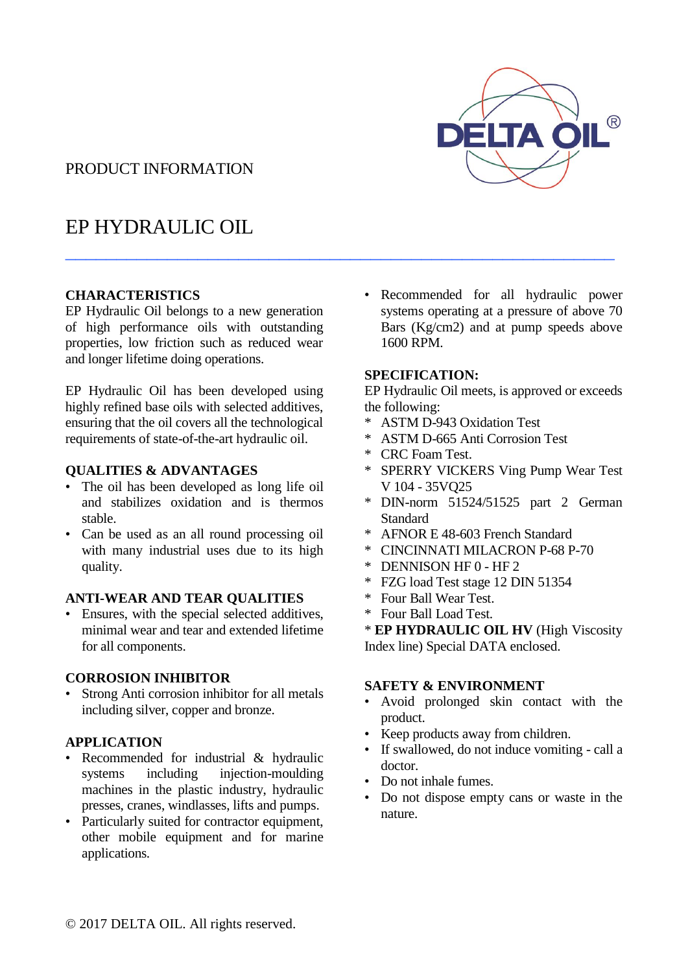

## PRODUCT INFORMATION

# EP HYDRAULIC OIL

### **CHARACTERISTICS**

EP Hydraulic Oil belongs to a new generation of high performance oils with outstanding properties, low friction such as reduced wear and longer lifetime doing operations.

EP Hydraulic Oil has been developed using highly refined base oils with selected additives, ensuring that the oil covers all the technological requirements of state-of-the-art hydraulic oil.

#### **QUALITIES & ADVANTAGES**

- The oil has been developed as long life oil and stabilizes oxidation and is thermos stable.
- Can be used as an all round processing oil with many industrial uses due to its high quality.

#### **ANTI-WEAR AND TEAR QUALITIES**

• Ensures, with the special selected additives, minimal wear and tear and extended lifetime for all components.

### **CORROSION INHIBITOR**

• Strong Anti corrosion inhibitor for all metals including silver, copper and bronze.

### **APPLICATION**

- Recommended for industrial & hydraulic systems including injection-moulding machines in the plastic industry, hydraulic presses, cranes, windlasses, lifts and pumps.
- Particularly suited for contractor equipment, other mobile equipment and for marine applications.

Recommended for all hydraulic power systems operating at a pressure of above 70 Bars (Kg/cm2) and at pump speeds above 1600 RPM.

### **SPECIFICATION:**

\_\_\_\_\_\_\_\_\_\_\_\_\_\_\_\_\_\_\_\_\_\_\_\_\_\_\_\_\_\_\_\_\_\_\_\_\_\_\_\_\_\_\_\_\_\_\_\_\_\_\_\_\_\_

EP Hydraulic Oil meets, is approved or exceeds the following:

- \* ASTM D-943 Oxidation Test
- ASTM D-665 Anti Corrosion Test
- \* CRC Foam Test.
- \* SPERRY VICKERS Ving Pump Wear Test V 104 - 35VQ25
- \* DIN-norm 51524/51525 part 2 German **Standard**
- \* AFNOR E 48-603 French Standard
- \* CINCINNATI MILACRON P-68 P-70
- \* DENNISON HF 0 HF 2
- \* FZG load Test stage 12 DIN 51354
- \* Four Ball Wear Test.
- \* Four Ball Load Test.

\* **EP HYDRAULIC OIL HV** (High Viscosity Index line) Special DATA enclosed.

### **SAFETY & ENVIRONMENT**

- Avoid prolonged skin contact with the product.
- Keep products away from children.
- If swallowed, do not induce vomiting call a doctor.
- Do not inhale fumes.
- Do not dispose empty cans or waste in the nature.